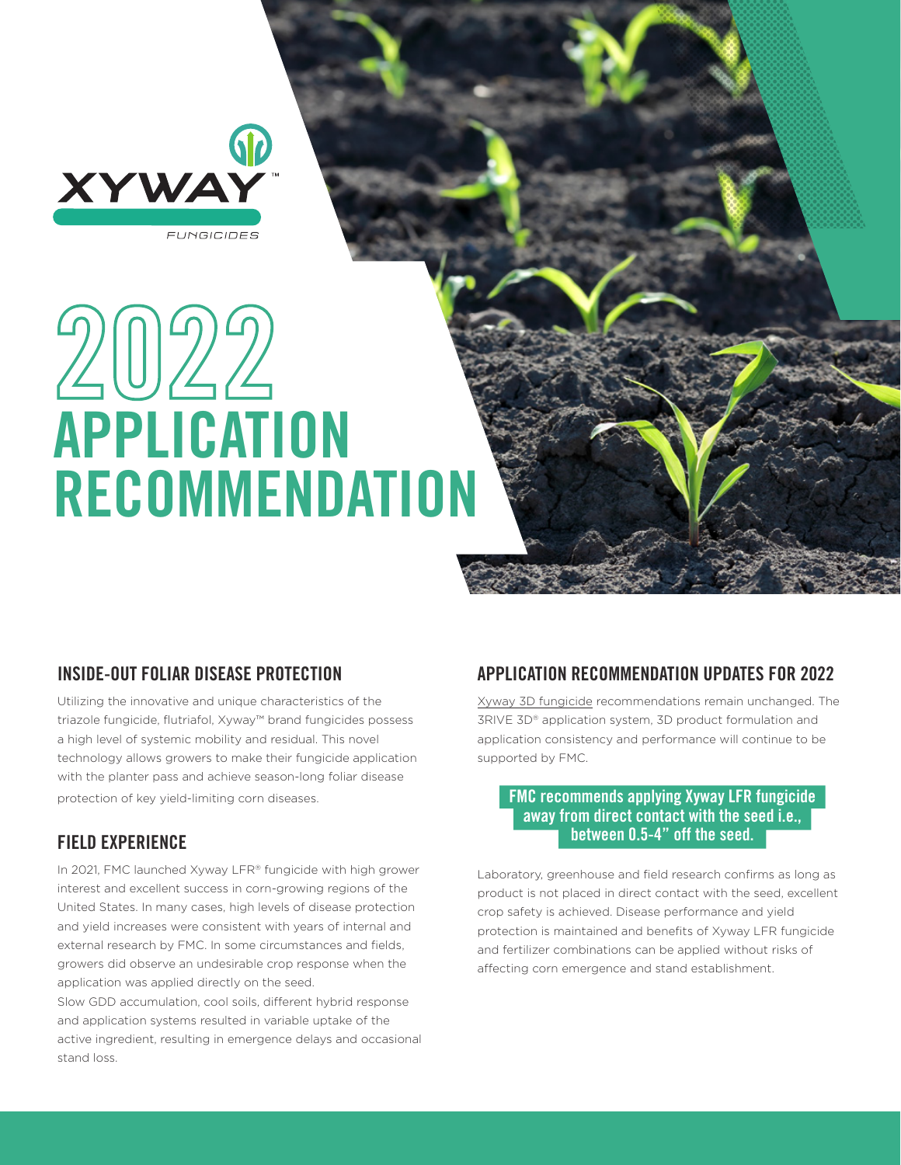

# 2022 APPLICATION **RECOMMENDATION**

# INSIDE-OUT FOLIAR DISEASE PROTECTION

Utilizing the innovative and unique characteristics of the triazole fungicide, flutriafol, Xyway™ brand fungicides possess a high level of systemic mobility and residual. This novel technology allows growers to make their fungicide application with the planter pass and achieve season-long foliar disease protection of key yield-limiting corn diseases.

# FIELD EXPERIENCE

In 2021, FMC launched Xyway LFR® fungicide with high grower interest and excellent success in corn-growing regions of the United States. In many cases, high levels of disease protection and yield increases were consistent with years of internal and external research by FMC. In some circumstances and fields, growers did observe an undesirable crop response when the application was applied directly on the seed.

Slow GDD accumulation, cool soils, different hybrid response and application systems resulted in variable uptake of the active ingredient, resulting in emergence delays and occasional stand loss.

# APPLICATION RECOMMENDATION UPDATES FOR 2022

Xyway 3D fungicide recommendations remain unchanged. The 3RIVE 3D® application system, 3D product formulation and application consistency and performance will continue to be supported by FMC.

### FMC recommends applying Xyway LFR fungicide away from direct contact with the seed i.e., between 0.5-4" off the seed.

Laboratory, greenhouse and field research confirms as long as product is not placed in direct contact with the seed, excellent crop safety is achieved. Disease performance and yield protection is maintained and benefits of Xyway LFR fungicide and fertilizer combinations can be applied without risks of affecting corn emergence and stand establishment.